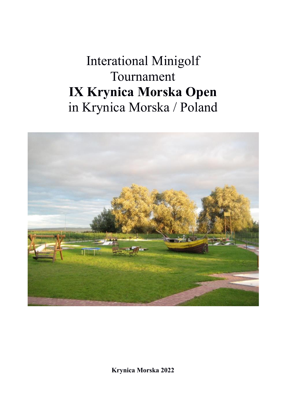## Interational Minigolf Tournament **IX Krynica Morska Open** in Krynica Morska / Poland



**Krynica Morska 2022**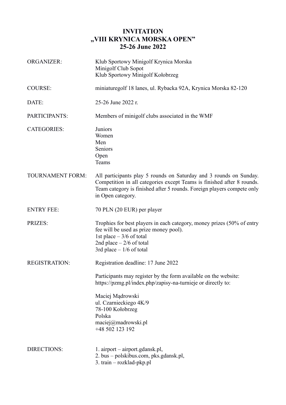## **INVITATION "VIII KRYNICA MORSKA OPEN" 25-26 June 2022**

| <b>ORGANIZER:</b>       | Klub Sportowy Minigolf Krynica Morska<br>Minigolf Club Sopot<br>Klub Sportowy Minigolf Kołobrzeg                                                                                                                                            |  |
|-------------------------|---------------------------------------------------------------------------------------------------------------------------------------------------------------------------------------------------------------------------------------------|--|
| <b>COURSE:</b>          | miniaturegolf 18 lanes, ul. Rybacka 92A, Krynica Morska 82-120                                                                                                                                                                              |  |
| DATE:                   | 25-26 June 2022 r.                                                                                                                                                                                                                          |  |
| PARTICIPANTS:           | Members of minigolf clubs associated in the WMF                                                                                                                                                                                             |  |
| <b>CATEGORIES:</b>      | Juniors<br>Women<br>Men<br>Seniors<br>Open<br>Teams                                                                                                                                                                                         |  |
| <b>TOURNAMENT FORM:</b> | All participants play 5 rounds on Saturday and 3 rounds on Sunday.<br>Competition in all categories except Teams is finished after 8 rounds.<br>Team category is finished after 5 rounds. Foreign players compete only<br>in Open category. |  |
| <b>ENTRY FEE:</b>       | 70 PLN (20 EUR) per player                                                                                                                                                                                                                  |  |
| <b>PRIZES:</b>          | Trophies for best players in each category, money prizes (50% of entry<br>fee will be used as prize money pool).<br>1st place $-3/6$ of total<br>2nd place $-2/6$ of total<br>3rd place $-1/6$ of total                                     |  |
| <b>REGISTRATION:</b>    | Registration deadline: 17 June 2022                                                                                                                                                                                                         |  |
|                         | Participants may register by the form available on the website:<br>https://pzmg.pl/index.php/zapisy-na-turnieje or directly to:                                                                                                             |  |
|                         | Maciej Mądrowski<br>ul. Czarnieckiego 4K/9<br>78-100 Kołobrzeg<br>Polska<br>maciej@madrowski.pl<br>+48 502 123 192                                                                                                                          |  |
| <b>DIRECTIONS:</b>      | 1. airport – airport.gdansk.pl,<br>2. bus – polskibus.com, pks.gdansk.pl,<br>3. train - rozklad-pkp.pl                                                                                                                                      |  |